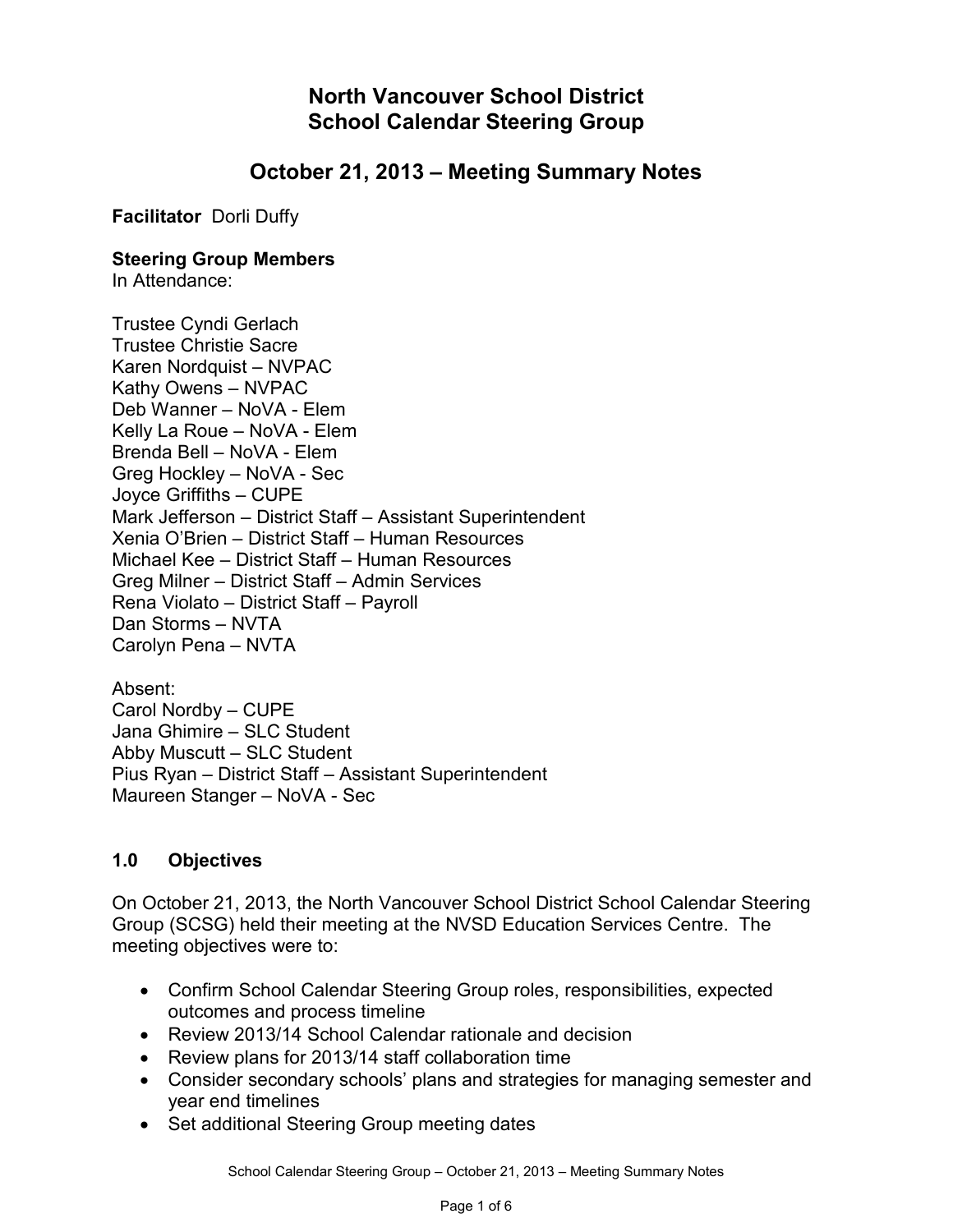**North Vancouver School District School Calendar Steering Group**

# **October 21, 2013 – Meeting Summary Notes**

**Facilitator** Dorli Duffy

#### **Steering Group Members**

In Attendance:

Trustee Cyndi Gerlach Trustee Christie Sacre Karen Nordquist – NVPAC Kathy Owens – NVPAC Deb Wanner – NoVA - Elem Kelly La Roue – NoVA - Elem Brenda Bell – NoVA - Elem Greg Hockley – NoVA - Sec Joyce Griffiths – CUPE Mark Jefferson – District Staff – Assistant Superintendent Xenia O'Brien – District Staff – Human Resources Michael Kee – District Staff – Human Resources Greg Milner – District Staff – Admin Services Rena Violato – District Staff – Payroll Dan Storms – NVTA Carolyn Pena – NVTA

Absent: Carol Nordby – CUPE Jana Ghimire – SLC Student Abby Muscutt – SLC Student Pius Ryan – District Staff – Assistant Superintendent Maureen Stanger – NoVA - Sec

#### **1.0 Objectives**

On October 21, 2013, the North Vancouver School District School Calendar Steering Group (SCSG) held their meeting at the NVSD Education Services Centre. The meeting objectives were to:

- Confirm School Calendar Steering Group roles, responsibilities, expected outcomes and process timeline
- Review 2013/14 School Calendar rationale and decision
- Review plans for 2013/14 staff collaboration time
- Consider secondary schools' plans and strategies for managing semester and year end timelines
- Set additional Steering Group meeting dates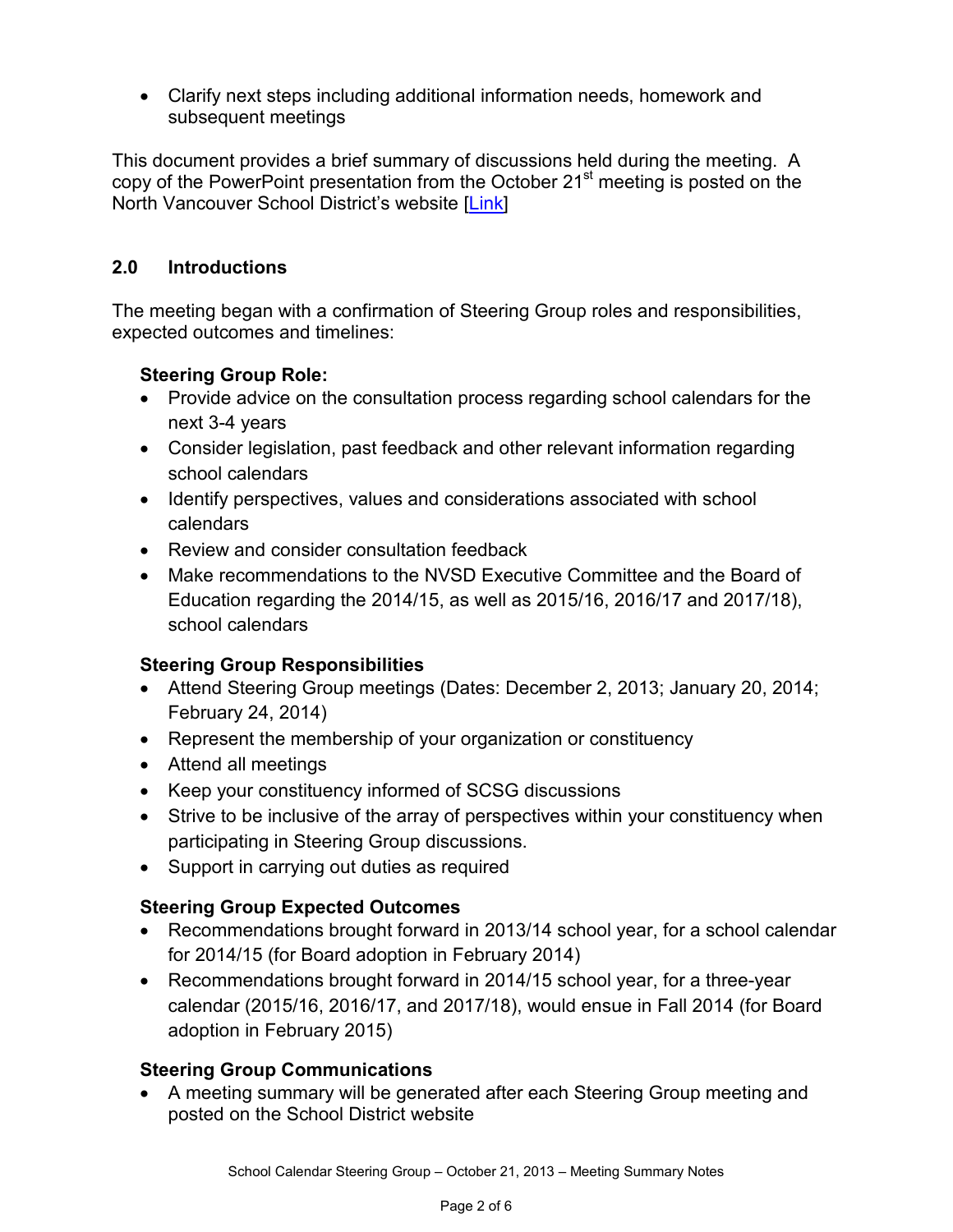• Clarify next steps including additional information needs, homework and subsequent meetings

This document provides a brief summary of discussions held during the meeting. A copy of the PowerPoint presentation from the October 21<sup>st</sup> meeting is posted on the North Vancouver School District's website [\[Link\]](http://www.sd44.ca/District/DistrictCalendar/SCSG/Documents/SCSGMeetingPresentation20131021.pdf)

## **2.0 Introductions**

The meeting began with a confirmation of Steering Group roles and responsibilities, expected outcomes and timelines:

# **Steering Group Role:**

- Provide advice on the consultation process regarding school calendars for the next 3-4 years
- Consider legislation, past feedback and other relevant information regarding school calendars
- Identify perspectives, values and considerations associated with school calendars
- Review and consider consultation feedback
- Make recommendations to the NVSD Executive Committee and the Board of Education regarding the 2014/15, as well as 2015/16, 2016/17 and 2017/18), school calendars

## **Steering Group Responsibilities**

- Attend Steering Group meetings (Dates: December 2, 2013; January 20, 2014; February 24, 2014)
- Represent the membership of your organization or constituency
- Attend all meetings
- Keep your constituency informed of SCSG discussions
- Strive to be inclusive of the array of perspectives within your constituency when participating in Steering Group discussions.
- Support in carrying out duties as required

## **Steering Group Expected Outcomes**

- Recommendations brought forward in 2013/14 school year, for a school calendar for 2014/15 (for Board adoption in February 2014)
- Recommendations brought forward in 2014/15 school year, for a three-year calendar (2015/16, 2016/17, and 2017/18), would ensue in Fall 2014 (for Board adoption in February 2015)

# **Steering Group Communications**

• A meeting summary will be generated after each Steering Group meeting and posted on the School District website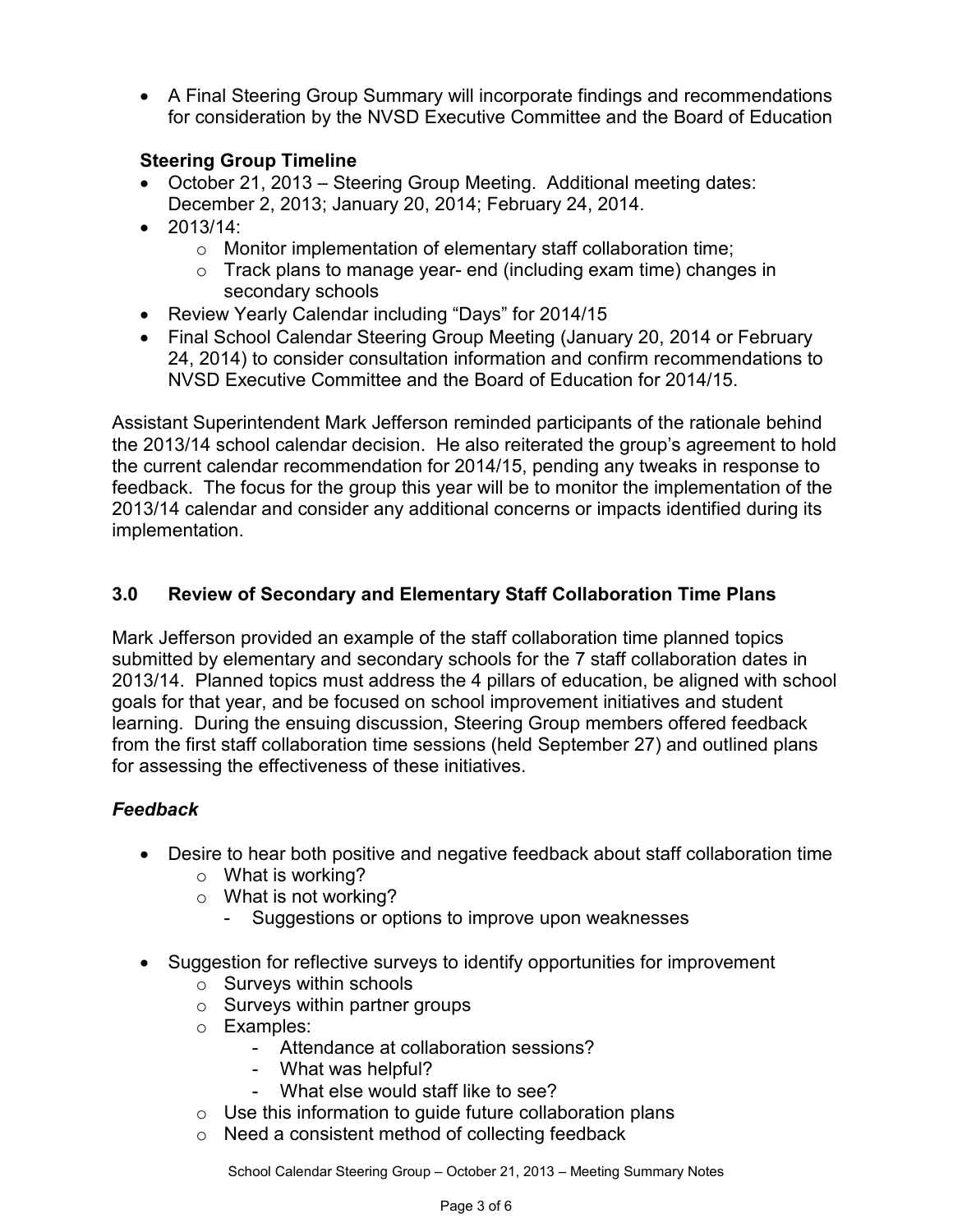• A Final Steering Group Summary will incorporate findings and recommendations for consideration by the NVSD Executive Committee and the Board of Education

## **Steering Group Timeline**

- October 21, 2013 Steering Group Meeting. Additional meeting dates: December 2, 2013; January 20, 2014; February 24, 2014.
- $2013/14$ 
	- o Monitor implementation of elementary staff collaboration time;
	- o Track plans to manage year- end (including exam time) changes in secondary schools
- Review Yearly Calendar including "Days" for 2014/15
- Final School Calendar Steering Group Meeting (January 20, 2014 or February 24, 2014) to consider consultation information and confirm recommendations to NVSD Executive Committee and the Board of Education for 2014/15.

Assistant Superintendent Mark Jefferson reminded participants of the rationale behind the 2013/14 school calendar decision. He also reiterated the group's agreement to hold the current calendar recommendation for 2014/15, pending any tweaks in response to feedback. The focus for the group this year will be to monitor the implementation of the 2013/14 calendar and consider any additional concerns or impacts identified during its implementation.

## **3.0 Review of Secondary and Elementary Staff Collaboration Time Plans**

Mark Jefferson provided an example of the staff collaboration time planned topics submitted by elementary and secondary schools for the 7 staff collaboration dates in 2013/14. Planned topics must address the 4 pillars of education, be aligned with school goals for that year, and be focused on school improvement initiatives and student learning. During the ensuing discussion, Steering Group members offered feedback from the first staff collaboration time sessions (held September 27) and outlined plans for assessing the effectiveness of these initiatives.

# *Feedback*

- Desire to hear both positive and negative feedback about staff collaboration time
	- $\circ$  What is working?
	- o What is not working?
		- Suggestions or options to improve upon weaknesses
- Suggestion for reflective surveys to identify opportunities for improvement
	- o Surveys within schools
	- $\circ$  Surveys within partner groups
	- o Examples:
		- Attendance at collaboration sessions?
		- What was helpful?
		- What else would staff like to see?
	- $\circ$  Use this information to guide future collaboration plans
	- o Need a consistent method of collecting feedback

School Calendar Steering Group – October 21, 2013 – Meeting Summary Notes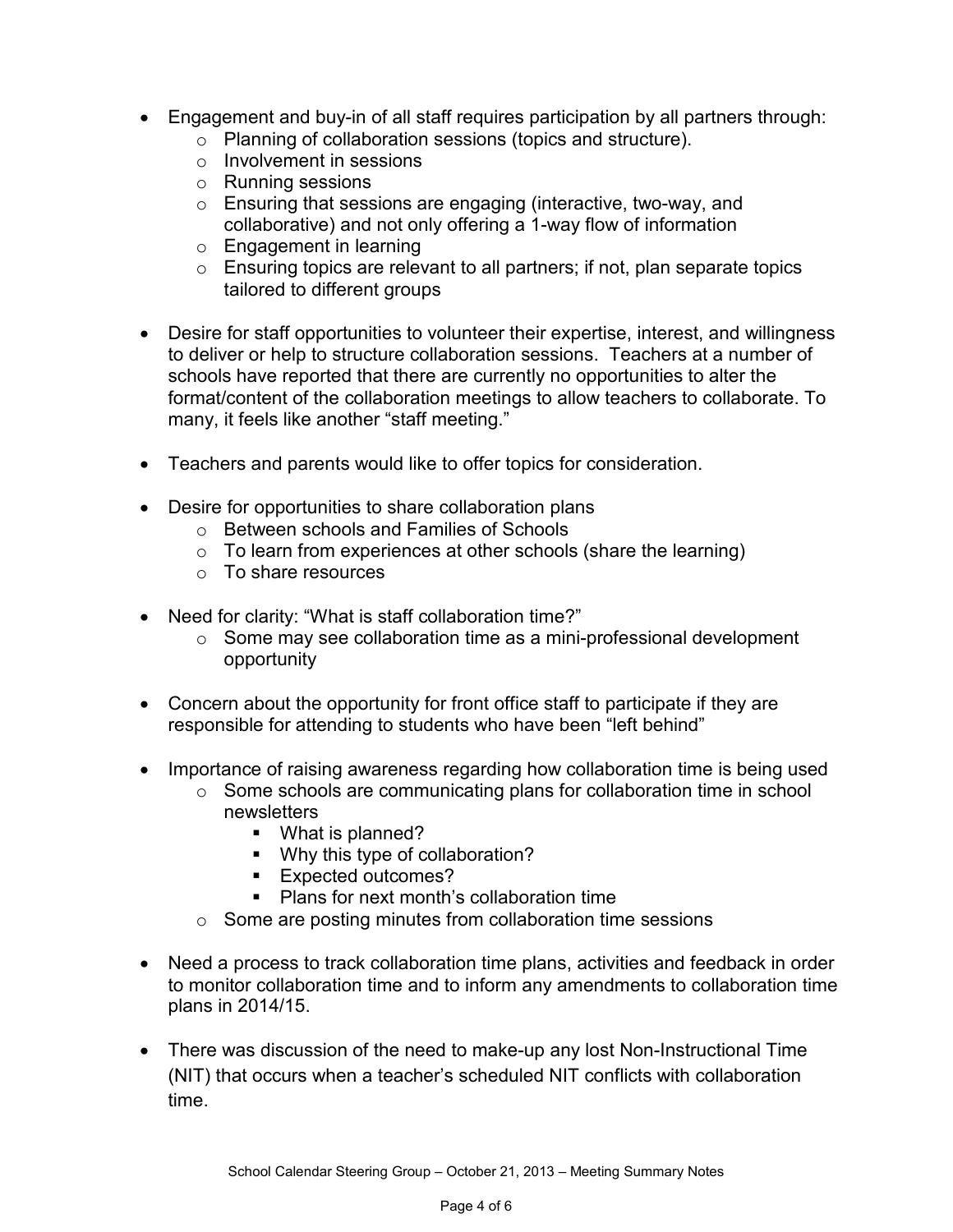- Engagement and buy-in of all staff requires participation by all partners through:
	- o Planning of collaboration sessions (topics and structure).
	- o Involvement in sessions
	- o Running sessions
	- o Ensuring that sessions are engaging (interactive, two-way, and collaborative) and not only offering a 1-way flow of information
	- o Engagement in learning
	- $\circ$  Ensuring topics are relevant to all partners; if not, plan separate topics tailored to different groups
- Desire for staff opportunities to volunteer their expertise, interest, and willingness to deliver or help to structure collaboration sessions. Teachers at a number of schools have reported that there are currently no opportunities to alter the format/content of the collaboration meetings to allow teachers to collaborate. To many, it feels like another "staff meeting."
- Teachers and parents would like to offer topics for consideration.
- Desire for opportunities to share collaboration plans
	- o Between schools and Families of Schools
	- $\circ$  To learn from experiences at other schools (share the learning)
	- o To share resources
- Need for clarity: "What is staff collaboration time?"
	- o Some may see collaboration time as a mini-professional development opportunity
- Concern about the opportunity for front office staff to participate if they are responsible for attending to students who have been "left behind"
- Importance of raising awareness regarding how collaboration time is being used
	- o Some schools are communicating plans for collaboration time in school newsletters
		- What is planned?
		- Why this type of collaboration?
		- **Expected outcomes?**
		- **Plans for next month's collaboration time**
	- o Some are posting minutes from collaboration time sessions
- Need a process to track collaboration time plans, activities and feedback in order to monitor collaboration time and to inform any amendments to collaboration time plans in 2014/15.
- There was discussion of the need to make-up any lost Non-Instructional Time (NIT) that occurs when a teacher's scheduled NIT conflicts with collaboration time.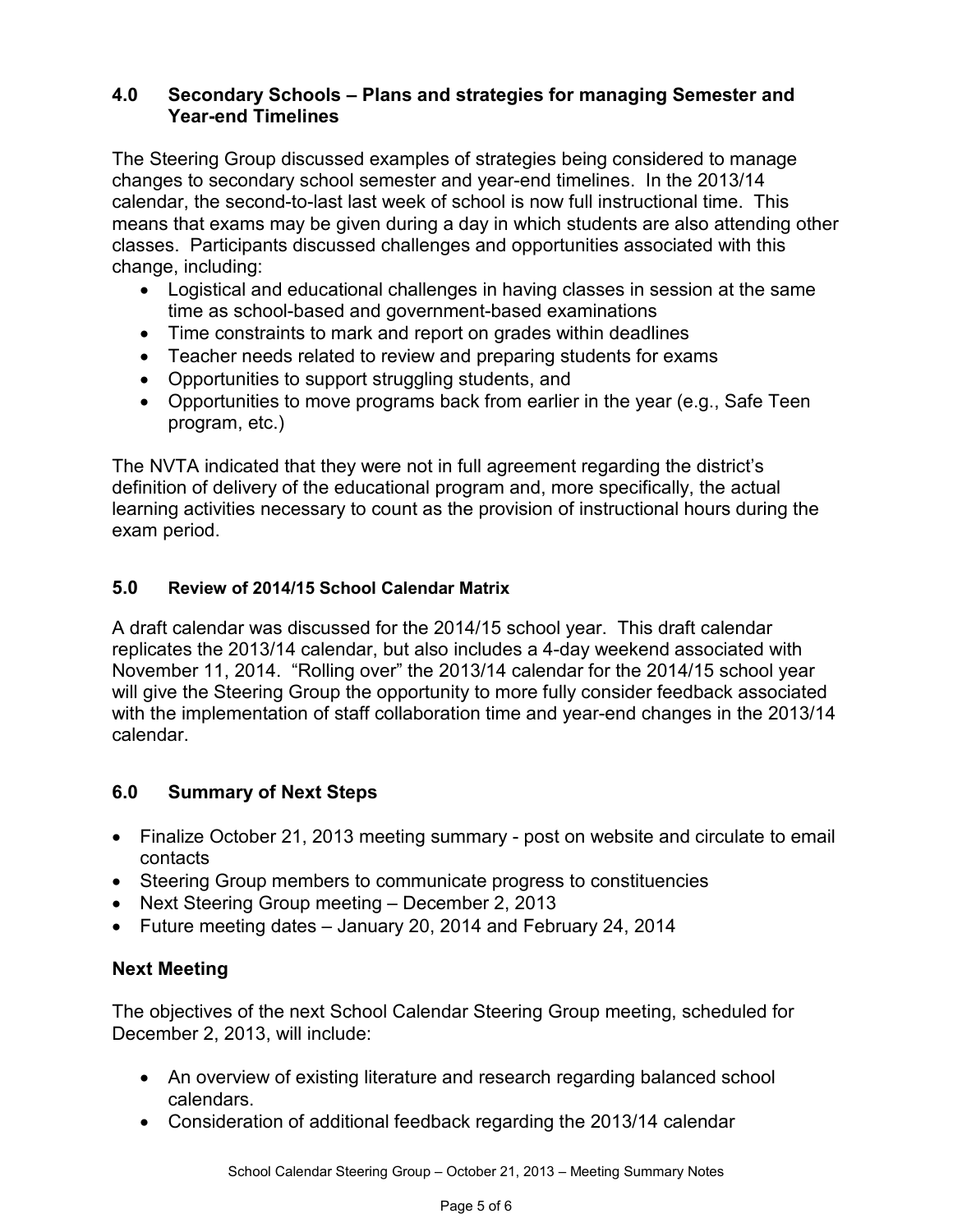### **4.0 Secondary Schools – Plans and strategies for managing Semester and Year-end Timelines**

The Steering Group discussed examples of strategies being considered to manage changes to secondary school semester and year-end timelines. In the 2013/14 calendar, the second-to-last last week of school is now full instructional time. This means that exams may be given during a day in which students are also attending other classes. Participants discussed challenges and opportunities associated with this change, including:

- Logistical and educational challenges in having classes in session at the same time as school-based and government-based examinations
- Time constraints to mark and report on grades within deadlines
- Teacher needs related to review and preparing students for exams
- Opportunities to support struggling students, and
- Opportunities to move programs back from earlier in the year (e.g., Safe Teen program, etc.)

The NVTA indicated that they were not in full agreement regarding the district's definition of delivery of the educational program and, more specifically, the actual learning activities necessary to count as the provision of instructional hours during the exam period.

## **5.0 Review of 2014/15 School Calendar Matrix**

A draft calendar was discussed for the 2014/15 school year. This draft calendar replicates the 2013/14 calendar, but also includes a 4-day weekend associated with November 11, 2014. "Rolling over" the 2013/14 calendar for the 2014/15 school year will give the Steering Group the opportunity to more fully consider feedback associated with the implementation of staff collaboration time and year-end changes in the 2013/14 calendar.

## **6.0 Summary of Next Steps**

- Finalize October 21, 2013 meeting summary post on website and circulate to email contacts
- Steering Group members to communicate progress to constituencies
- Next Steering Group meeting December 2, 2013
- Future meeting dates January 20, 2014 and February 24, 2014

# **Next Meeting**

The objectives of the next School Calendar Steering Group meeting, scheduled for December 2, 2013, will include:

- An overview of existing literature and research regarding balanced school calendars.
- Consideration of additional feedback regarding the 2013/14 calendar